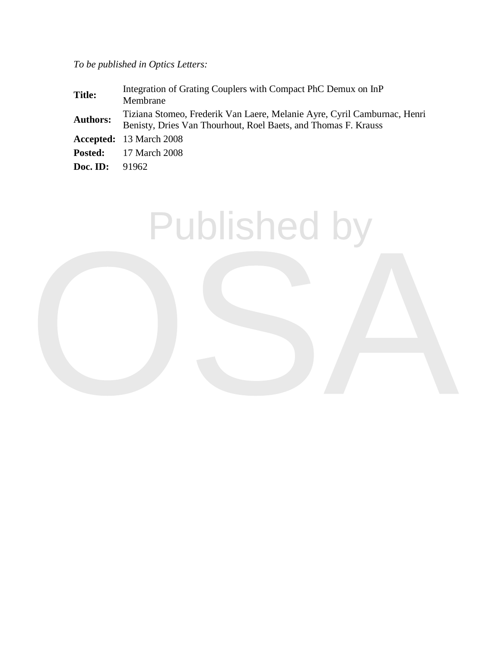*To be published in Optics Letters:*

| <b>Title:</b>   | Integration of Grating Couplers with Compact PhC Demux on InP<br>Membrane                                                                  |
|-----------------|--------------------------------------------------------------------------------------------------------------------------------------------|
| <b>Authors:</b> | Tiziana Stomeo, Frederik Van Laere, Melanie Ayre, Cyril Camburnac, Henri<br>Benisty, Dries Van Thourhout, Roel Baets, and Thomas F. Krauss |
|                 | <b>Accepted:</b> 13 March 2008                                                                                                             |
|                 | <b>Posted:</b> 17 March 2008                                                                                                               |
| Doc. ID:        | 91962                                                                                                                                      |

Published by

OSA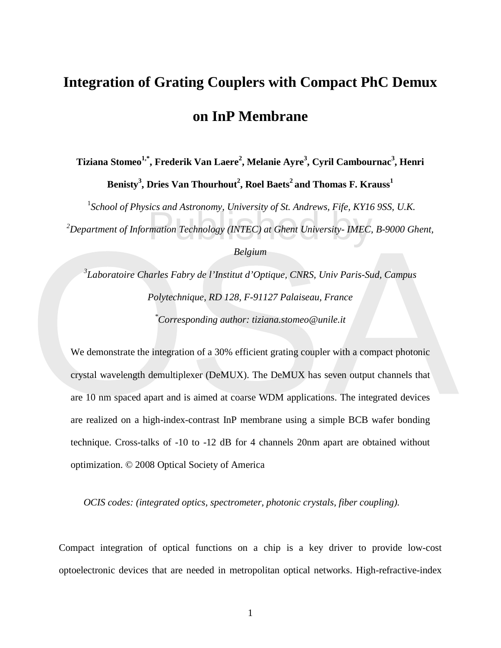## **Integration of Grating Couplers with Compact PhC Demux on InP Membrane**

 $\bf T$ iziana Stomeo $^{\bf 1,*}$ , Frederik Van Laere<sup>2</sup>, Melanie Ayre $^{\bf 3}$ , Cyril Cambournac $^{\bf 3}$ , Henri  $\mathbf{B}$ enisty<sup>3</sup>, Dries Van Thourhout<sup>2</sup>, Roel Baets<sup>2</sup> and Thomas F. Krauss<sup>1</sup>

mation Technology (INTEC) at Ghent University- IMEC, <sup>1</sup> School of Physics and Astronomy, University of St. Andrews, Fife, KY16 9SS, U.K.

*2 Department of Information Technology (INTEC) at Ghent University- IMEC, B-9000 Ghent,* 

## *Belgium*

*3 Laboratoire Charles Fabry de l'Institut d'Optique, CNRS, Univ Paris-Sud, Campus Polytechnique, RD 128, F-91127 Palaiseau, France \* Corresponding author: tiziana.stomeo@unile.it* 

Belgium<br>
<sup>3</sup>Laboratoire Charles Fabry de l'Institut d'Optique, CNRS, Univ Paris-Sud, Campus<br>
Polytechnique, RD 128, F-91127 Palaiseau, France<br>
<sup>\*</sup>Corresponding author: tiziana.stomeo@unile.it<br>
We demonstrate the integratio We demonstrate the integration of a 30% efficient grating coupler with a compact photonic crystal wavelength demultiplexer (DeMUX). The DeMUX has seven output channels that are 10 nm spaced apart and is aimed at coarse WDM applications. The integrated devices are realized on a high-index-contrast InP membrane using a simple BCB wafer bonding technique. Cross-talks of -10 to -12 dB for 4 channels 20nm apart are obtained without optimization. © 2008 Optical Society of America

 *OCIS codes: (integrated optics, spectrometer, photonic crystals, fiber coupling).*

Compact integration of optical functions on a chip is a key driver to provide low-cost optoelectronic devices that are needed in metropolitan optical networks. High-refractive-index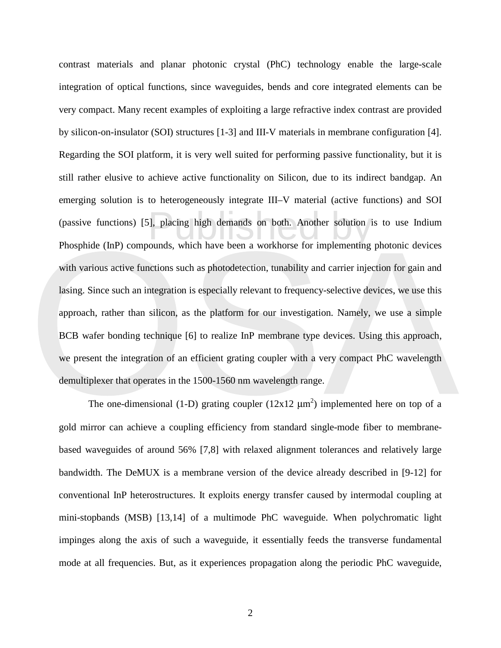Phosphide (InP) compounds, which have been a workhorse for implementing photonic devices<br>with various active functions such as photodetection, tunability and carrier injection for gain and<br>lasing. Since such an integratio i), placing high demands on both. Another solution is<br>ounds, which have been a workhorse for implementing contrast materials and planar photonic crystal (PhC) technology enable the large-scale integration of optical functions, since waveguides, bends and core integrated elements can be very compact. Many recent examples of exploiting a large refractive index contrast are provided by silicon-on-insulator (SOI) structures [1-3] and III-V materials in membrane configuration [4]. Regarding the SOI platform, it is very well suited for performing passive functionality, but it is still rather elusive to achieve active functionality on Silicon, due to its indirect bandgap. An emerging solution is to heterogeneously integrate III–V material (active functions) and SOI (passive functions) [5], placing high demands on both. Another solution is to use Indium Phosphide (InP) compounds, which have been a workhorse for implementing photonic devices with various active functions such as photodetection, tunability and carrier injection for gain and lasing. Since such an integration is especially relevant to frequency-selective devices, we use this approach, rather than silicon, as the platform for our investigation. Namely, we use a simple BCB wafer bonding technique [6] to realize InP membrane type devices. Using this approach, we present the integration of an efficient grating coupler with a very compact PhC wavelength demultiplexer that operates in the 1500-1560 nm wavelength range.

The one-dimensional (1-D) grating coupler ( $12x12 \mu m^2$ ) implemented here on top of a gold mirror can achieve a coupling efficiency from standard single-mode fiber to membranebased waveguides of around 56% [7,8] with relaxed alignment tolerances and relatively large bandwidth. The DeMUX is a membrane version of the device already described in [9-12] for conventional InP heterostructures. It exploits energy transfer caused by intermodal coupling at mini-stopbands (MSB) [13,14] of a multimode PhC waveguide. When polychromatic light impinges along the axis of such a waveguide, it essentially feeds the transverse fundamental mode at all frequencies. But, as it experiences propagation along the periodic PhC waveguide,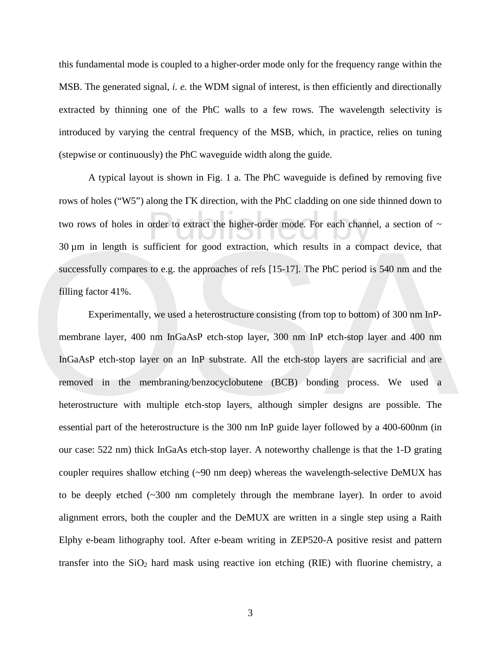this fundamental mode is coupled to a higher-order mode only for the frequency range within the MSB. The generated signal, *i. e.* the WDM signal of interest, is then efficiently and directionally extracted by thinning one of the PhC walls to a few rows. The wavelength selectivity is introduced by varying the central frequency of the MSB, which, in practice, relies on tuning (stepwise or continuously) the PhC waveguide width along the guide.

order to extract the higher-order mode. For each channel<br>ufficient for good extraction, which results in a com-A typical layout is shown in Fig. 1 a. The PhC waveguide is defined by removing five rows of holes ("W5") along the ΓK direction, with the PhC cladding on one side thinned down to two rows of holes in order to extract the higher-order mode. For each channel, a section of  $\sim$ 30 µm in length is sufficient for good extraction, which results in a compact device, that successfully compares to e.g. the approaches of refs [15-17]. The PhC period is 540 nm and the filling factor 41%.

30  $\mu$ m in length is sufficient for good extraction, which results in a compact device, that<br>successfully compares to e.g. the approaches of refs [15-17]. The PhC period is 540 nm and the<br>filling factor 41%.<br>Experimental Experimentally, we used a heterostructure consisting (from top to bottom) of 300 nm InPmembrane layer, 400 nm InGaAsP etch-stop layer, 300 nm InP etch-stop layer and 400 nm InGaAsP etch-stop layer on an InP substrate. All the etch-stop layers are sacrificial and are removed in the membraning/benzocyclobutene (BCB) bonding process. We used a heterostructure with multiple etch-stop layers, although simpler designs are possible. The essential part of the heterostructure is the 300 nm InP guide layer followed by a 400-600nm (in our case: 522 nm) thick InGaAs etch-stop layer. A noteworthy challenge is that the 1-D grating coupler requires shallow etching (~90 nm deep) whereas the wavelength-selective DeMUX has to be deeply etched (~300 nm completely through the membrane layer). In order to avoid alignment errors, both the coupler and the DeMUX are written in a single step using a Raith Elphy e-beam lithography tool. After e-beam writing in ZEP520-A positive resist and pattern transfer into the  $SiO<sub>2</sub>$  hard mask using reactive ion etching (RIE) with fluorine chemistry, a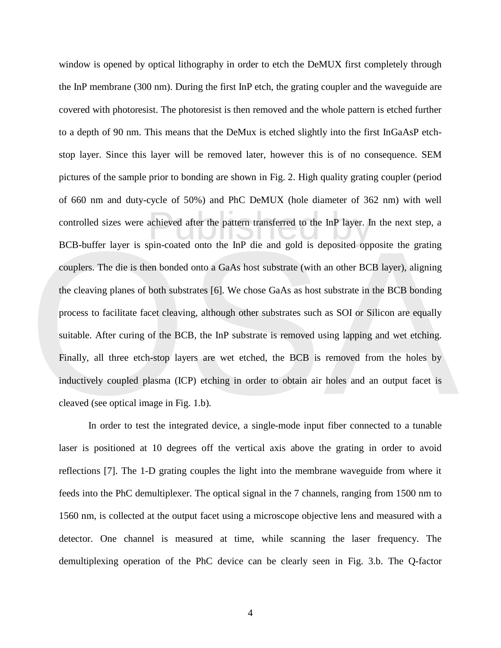BCB-buffer layer is spin-coated onto the InP die and gold is deposited opposite the grating<br>couplers. The die is then bonded onto a GaAs host substrate (with an other BCB layer), aligning<br>the cleaving planes of both substr achieved after the pattern transferred to the InP layer. In<br>pin-coated onto the InP die and gold is deposited opp window is opened by optical lithography in order to etch the DeMUX first completely through the InP membrane (300 nm). During the first InP etch, the grating coupler and the waveguide are covered with photoresist. The photoresist is then removed and the whole pattern is etched further to a depth of 90 nm. This means that the DeMux is etched slightly into the first InGaAsP etchstop layer. Since this layer will be removed later, however this is of no consequence. SEM pictures of the sample prior to bonding are shown in Fig. 2. High quality grating coupler (period of 660 nm and duty-cycle of 50%) and PhC DeMUX (hole diameter of 362 nm) with well controlled sizes were achieved after the pattern transferred to the InP layer. In the next step, a BCB-buffer layer is spin-coated onto the InP die and gold is deposited opposite the grating couplers. The die is then bonded onto a GaAs host substrate (with an other BCB layer), aligning the cleaving planes of both substrates [6]. We chose GaAs as host substrate in the BCB bonding process to facilitate facet cleaving, although other substrates such as SOI or Silicon are equally suitable. After curing of the BCB, the InP substrate is removed using lapping and wet etching. Finally, all three etch-stop layers are wet etched, the BCB is removed from the holes by inductively coupled plasma (ICP) etching in order to obtain air holes and an output facet is cleaved (see optical image in Fig. 1.b).

In order to test the integrated device, a single-mode input fiber connected to a tunable laser is positioned at 10 degrees off the vertical axis above the grating in order to avoid reflections [7]. The 1-D grating couples the light into the membrane waveguide from where it feeds into the PhC demultiplexer. The optical signal in the 7 channels, ranging from 1500 nm to 1560 nm, is collected at the output facet using a microscope objective lens and measured with a detector. One channel is measured at time, while scanning the laser frequency. The demultiplexing operation of the PhC device can be clearly seen in Fig. 3.b. The Q-factor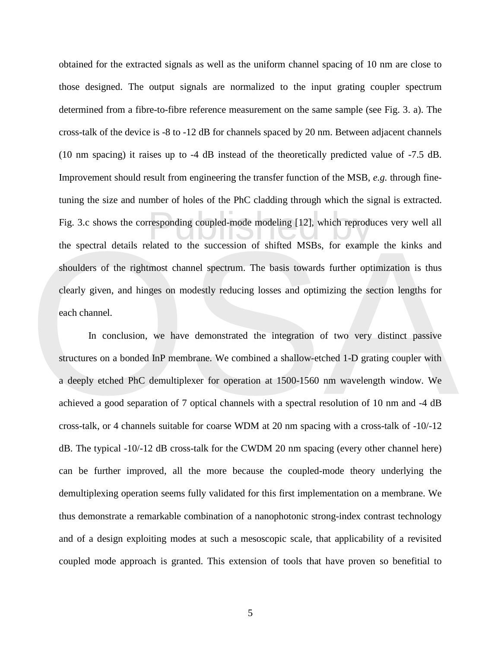responding coupled-mode modeling [12], which reproduction<br>Plated to the succession of shifted MSBs, for examp obtained for the extracted signals as well as the uniform channel spacing of 10 nm are close to those designed. The output signals are normalized to the input grating coupler spectrum determined from a fibre-to-fibre reference measurement on the same sample (see Fig. 3. a). The cross-talk of the device is -8 to -12 dB for channels spaced by 20 nm. Between adjacent channels (10 nm spacing) it raises up to -4 dB instead of the theoretically predicted value of -7.5 dB. Improvement should result from engineering the transfer function of the MSB, *e.g.* through finetuning the size and number of holes of the PhC cladding through which the signal is extracted. Fig. 3.c shows the corresponding coupled-mode modeling [12], which reproduces very well all the spectral details related to the succession of shifted MSBs, for example the kinks and shoulders of the rightmost channel spectrum. The basis towards further optimization is thus clearly given, and hinges on modestly reducing losses and optimizing the section lengths for each channel.

the spectral details related to the succession of shifted MSBs, for example the kinks and<br>shoulders of the rightmost channel spectrum. The basis towards further optimization is thus<br>clearly given, and hinges on modestly re In conclusion, we have demonstrated the integration of two very distinct passive structures on a bonded InP membrane. We combined a shallow-etched 1-D grating coupler with a deeply etched PhC demultiplexer for operation at 1500-1560 nm wavelength window. We achieved a good separation of 7 optical channels with a spectral resolution of 10 nm and -4 dB cross-talk, or 4 channels suitable for coarse WDM at 20 nm spacing with a cross-talk of -10/-12 dB. The typical -10/-12 dB cross-talk for the CWDM 20 nm spacing (every other channel here) can be further improved, all the more because the coupled-mode theory underlying the demultiplexing operation seems fully validated for this first implementation on a membrane. We thus demonstrate a remarkable combination of a nanophotonic strong-index contrast technology and of a design exploiting modes at such a mesoscopic scale, that applicability of a revisited coupled mode approach is granted. This extension of tools that have proven so benefitial to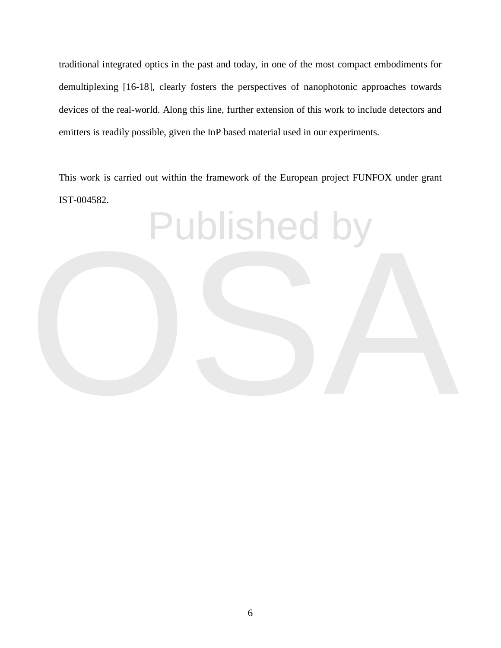traditional integrated optics in the past and today, in one of the most compact embodiments for demultiplexing [16-18], clearly fosters the perspectives of nanophotonic approaches towards devices of the real-world. Along this line, further extension of this work to include detectors and emitters is readily possible, given the InP based material used in our experiments.

This work is carried out within the framework of the European project FUNFOX under grant IST-004582.

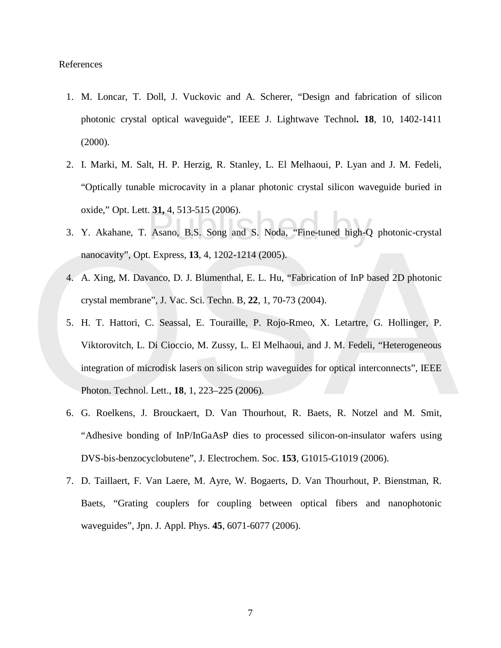## References

- 1. M. Loncar, T. Doll, J. Vuckovic and A. Scherer, "Design and fabrication of silicon photonic crystal optical waveguide", IEEE J. Lightwave Technol**. 18**, 10, 1402-1411 (2000).
- 2. I. Marki, M. Salt, H. P. Herzig, R. Stanley, L. El Melhaoui, P. Lyan and J. M. Fedeli, "Optically tunable microcavity in a planar photonic crystal silicon waveguide buried in oxide," Opt. Lett. **31,** 4, 513-515 (2006).
- Asano, B.S. Song and S. Noda, "Fine-tuned high-Q 3. Y. Akahane, T. Asano, B.S. Song and S. Noda, "Fine-tuned high-Q photonic-crystal nanocavity", Opt. Express, **13**, 4, 1202-1214 (2005).
- 4. A. Xing, M. Davanco, D. J. Blumenthal, E. L. Hu, "Fabrication of InP based 2D photonic crystal membrane", J. Vac. Sci. Techn. B, **22**, 1, 70-73 (2004).
- nanocavity", Opt. Express, 13, 4, 1202-1214 (2005).<br>
4. A. Xing, M. Davanco, D. J. Blumenthal, E. L. Hu, "Fabrication of InP based 2D photonic<br>
crystal membrane", J. Vac. Sci. Techn. B, 22, 1, 70-73 (2004).<br>
5. H. T. Hatto 5. H. T. Hattori, C. Seassal, E. Touraille, P. Rojo-Rmeo, X. Letartre, G. Hollinger, P. Viktorovitch, L. Di Cioccio, M. Zussy, L. El Melhaoui, and J. M. Fedeli, "Heterogeneous integration of microdisk lasers on silicon strip waveguides for optical interconnects", IEEE Photon. Technol. Lett., **18**, 1, 223–225 (2006).
	- 6. G. Roelkens, J. Brouckaert, D. Van Thourhout, R. Baets, R. Notzel and M. Smit, "Adhesive bonding of InP/InGaAsP dies to processed silicon-on-insulator wafers using DVS-bis-benzocyclobutene", J. Electrochem. Soc. **153**, G1015-G1019 (2006).
	- 7. D. Taillaert, F. Van Laere, M. Ayre, W. Bogaerts, D. Van Thourhout, P. Bienstman, R. Baets, "Grating couplers for coupling between optical fibers and nanophotonic waveguides", Jpn. J. Appl. Phys. **45**, 6071-6077 (2006).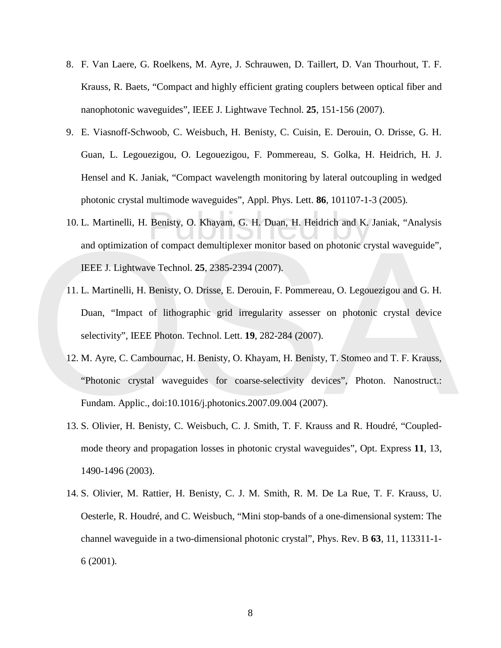- 8. F. Van Laere, G. Roelkens, M. Ayre, J. Schrauwen, D. Taillert, D. Van Thourhout, T. F. Krauss, R. Baets, "Compact and highly efficient grating couplers between optical fiber and nanophotonic waveguides", IEEE J. Lightwave Technol. **25**, 151-156 (2007).
- 9. E. Viasnoff-Schwoob, C. Weisbuch, H. Benisty, C. Cuisin, E. Derouin, O. Drisse, G. H. Guan, L. Legouezigou, O. Legouezigou, F. Pommereau, S. Golka, H. Heidrich, H. J. Hensel and K. Janiak, "Compact wavelength monitoring by lateral outcoupling in wedged photonic crystal multimode waveguides", Appl. Phys. Lett. **86**, 101107-1-3 (2005).
- Benisty, O. Khayam, G. H. Duan, H. Heidrich and K.<br>of compact demultiplexer monitor based on photonic cr 10. L. Martinelli, H. Benisty, O. Khayam, G. H. Duan, H. Heidrich and K. Janiak, "Analysis and optimization of compact demultiplexer monitor based on photonic crystal waveguide", IEEE J. Lightwave Technol. **25**, 2385-2394 (2007).
- and optimization of compact demultiplexer monitor based on photonic crystal waveguide",<br>
IEEE J. Lightwave Technol. 25, 2385-2394 (2007).<br>
11. L. Martinelli, H. Benisty, O. Drisse, E. Derouin, F. Pommereau, O. Legouezigou 11. L. Martinelli, H. Benisty, O. Drisse, E. Derouin, F. Pommereau, O. Legouezigou and G. H. Duan, "Impact of lithographic grid irregularity assesser on photonic crystal device selectivity", IEEE Photon. Technol. Lett. **19**, 282-284 (2007).
	- 12. M. Ayre, C. Cambournac, H. Benisty, O. Khayam, H. Benisty, T. Stomeo and T. F. Krauss, "Photonic crystal waveguides for coarse-selectivity devices", Photon. Nanostruct.: Fundam. Applic., doi:10.1016/j.photonics.2007.09.004 (2007).
	- 13. S. Olivier, H. Benisty, C. Weisbuch, C. J. Smith, T. F. Krauss and R. Houdré, "Coupledmode theory and propagation losses in photonic crystal waveguides", Opt. Express **11**, 13, 1490-1496 (2003).
	- 14. S. Olivier, M. Rattier, H. Benisty, C. J. M. Smith, R. M. De La Rue, T. F. Krauss, U. Oesterle, R. Houdré, and C. Weisbuch, "Mini stop-bands of a one-dimensional system: The channel waveguide in a two-dimensional photonic crystal", Phys. Rev. B **63**, 11, 113311-1- 6 (2001).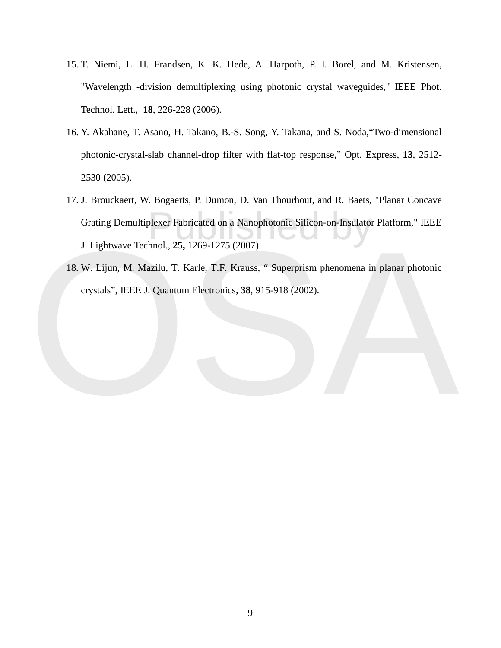- 15. T. Niemi, L. H. Frandsen, K. K. Hede, A. Harpoth, P. I. Borel, and M. Kristensen, "Wavelength -division demultiplexing using photonic crystal waveguides," IEEE Phot. Technol. Lett., **18**, 226-228 (2006).
- 16. Y. Akahane, T. Asano, H. Takano, B.-S. Song, Y. Takana, and S. Noda,"Two-dimensional photonic-crystal-slab channel-drop filter with flat-top response," Opt. Express, **13**, 2512- 2530 (2005).
- plexer Fabricated on a Nanophotonic Silicon-on-Insulator<br>hnol., 25, 1269-1275 (2007). 17. J. Brouckaert, W. Bogaerts, P. Dumon, D. Van Thourhout, and R. Baets, "Planar Concave Grating Demultiplexer Fabricated on a Nanophotonic Silicon-on-Insulator Platform," IEEE J. Lightwave Technol., **25,** 1269-1275 (2007).
- J. Lightwave Technol., 25, 1269-1275 (2007).<br>
18. W. Lijun, M. Mazilu, T. Karle, T.F. Krauss, " Superprism phenomena in planar photonic<br>
crystals", IEEE J. Quantum Electronics, 38, 915-918 (2002). 18. W. Lijun, M. Mazilu, T. Karle, T.F. Krauss, " Superprism phenomena in planar photonic crystals", IEEE J. Quantum Electronics, **38**, 915-918 (2002).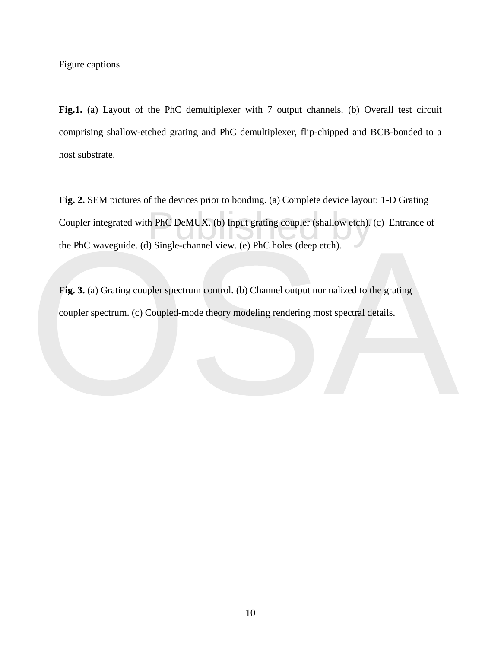Figure captions

Fig.1. (a) Layout of the PhC demultiplexer with 7 output channels. (b) Overall test circuit comprising shallow-etched grating and PhC demultiplexer, flip-chipped and BCB-bonded to a host substrate.

h PhC DeMUX. (b) Input grating coupler (shallow etch).<br>
Single-channel view. (e) PhC holes (deep etch). **Fig. 2.** SEM pictures of the devices prior to bonding. (a) Complete device layout: 1-D Grating Coupler integrated with PhC DeMUX. (b) Input grating coupler (shallow etch). (c) Entrance of the PhC waveguide. (d) Single-channel view. (e) PhC holes (deep etch).

the PhC waveguide. (d) Single-channel view. (e) PhC holes (deep etch).<br>
Fig. 3. (a) Grating coupler spectrum control. (b) Channel output normalized to the grating<br>
coupler spectrum. (c) Coupled-mode theory modeling renderi **Fig. 3.** (a) Grating coupler spectrum control. (b) Channel output normalized to the grating coupler spectrum. (c) Coupled-mode theory modeling rendering most spectral details.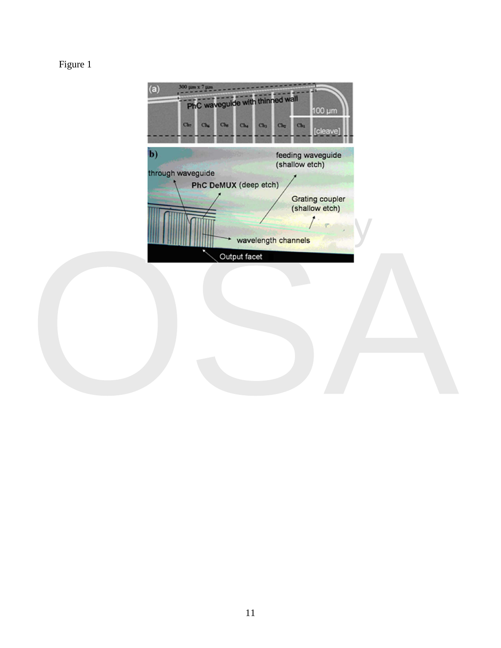## Figure 1

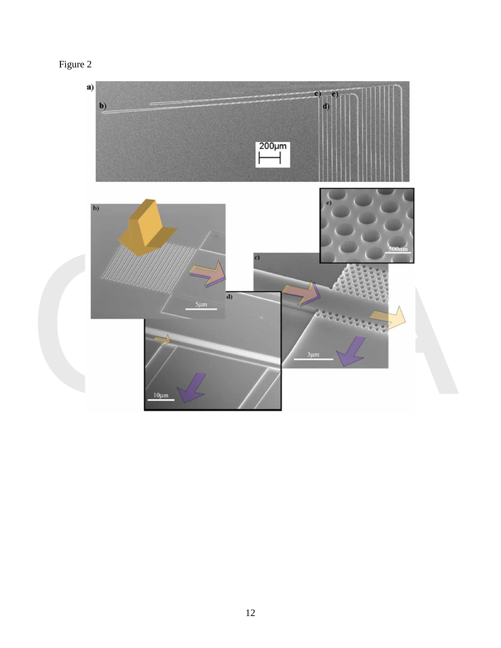| ٠ |  |
|---|--|
|---|--|